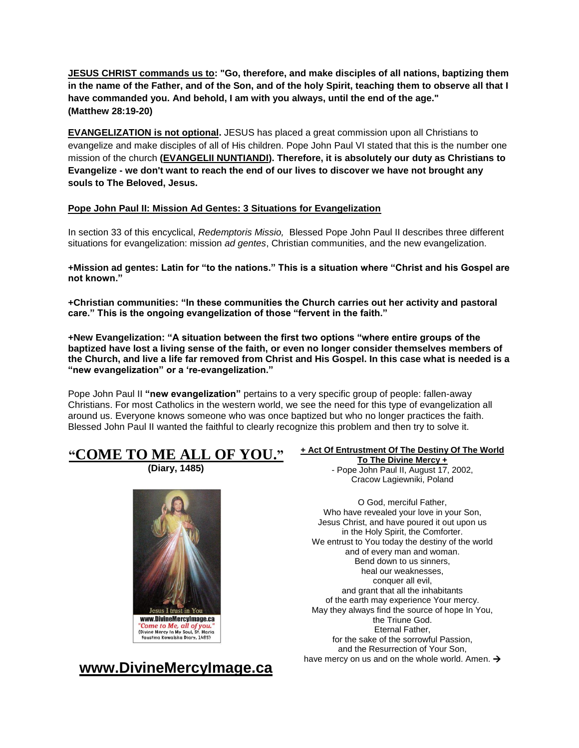**JESUS CHRIST commands us to: "Go, therefore, and make disciples of all nations, baptizing them in the name of the Father, and of the Son, and of the holy Spirit, teaching them to observe all that I have commanded you. And behold, I am with you always, until the end of the age." (Matthew 28:19-20)**

**EVANGELIZATION is not optional.** JESUS has placed a great commission upon all Christians to evangelize and make disciples of all of His children. Pope John Paul VI stated that this is the number one mission of the church **[\(EVANGELII NUNTIANDI\)](http://www.vatican.va/content/paul-vi/en/apost_exhortations/documents/hf_p-vi_exh_19751208_evangelii-nuntiandi.html). Therefore, it is absolutely our duty as Christians to Evangelize - we don't want to reach the end of our lives to discover we have not brought any souls to The Beloved, Jesus.**

# **Pope John Paul II: Mission Ad Gentes: 3 Situations for Evangelization**

In section 33 of this encyclical, *Redemptoris Missio,* Blessed Pope John Paul II describes three different situations for evangelization: mission *ad gentes*, Christian communities, and the new evangelization.

**+Mission ad gentes: Latin for "to the nations." This is a situation where "Christ and his Gospel are not known."**

**+Christian communities: "In these communities the Church carries out her activity and pastoral care." This is the ongoing evangelization of those "fervent in the faith."**

**+New Evangelization: "A situation between the first two options "where entire groups of the baptized have lost a living sense of the faith, or even no longer consider themselves members of the Church, and live a life far removed from Christ and His Gospel. In this case what is needed is a "new evangelization" or a 're-evangelization."**

Pope John Paul II **"new evangelization"** pertains to a very specific group of people: fallen-away Christians. For most Catholics in the western world, we see the need for this type of evangelization all around us. Everyone knows someone who was once baptized but who no longer practices the faith. Blessed John Paul II wanted the faithful to clearly recognize this problem and then try to solve it.



**(Diary, 1485)**



# **www.DivineMercyImage.ca**

#### **+ Act Of Entrustment Of The Destiny Of The World To The Divine Mercy +**

- Pope John Paul II, August 17, 2002, Cracow Lagiewniki, Poland

O God, merciful Father, Who have revealed your love in your Son, Jesus Christ, and have poured it out upon us in the Holy Spirit, the Comforter. We entrust to You today the destiny of the world and of every man and woman. Bend down to us sinners, heal our weaknesses, conquer all evil, and grant that all the inhabitants of the earth may experience Your mercy. May they always find the source of hope In You, the Triune God. Eternal Father, for the sake of the sorrowful Passion, and the Resurrection of Your Son, have mercy on us and on the whole world. Amen.  $\rightarrow$